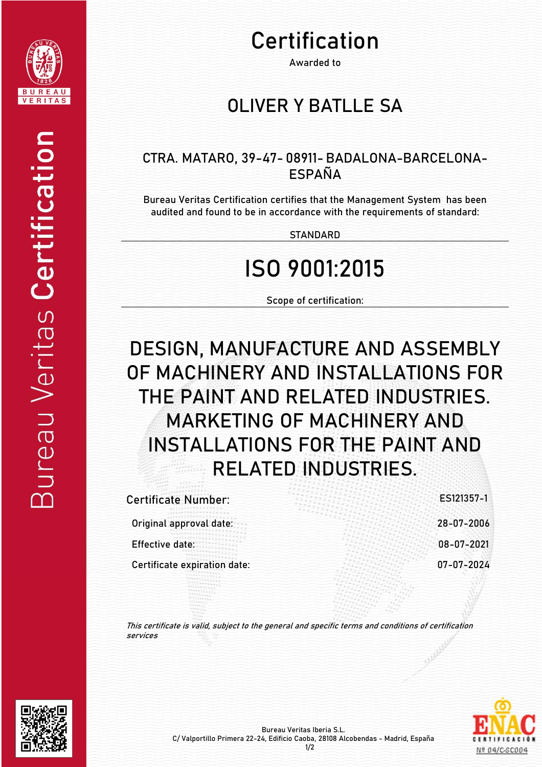

# Certification

Awarded to

#### **OLIVER Y BATLLE SA**

#### CTRA. MATARO, 39-47- 08911- BADALONA-BARCELONA-ESPAÑA

Bureau Veritas Certification certifies that the Management System has been audited and found to be in accordance with the requirements of standard:

**STANDARD** 

## ISO 9001:2015

Scope of certification:

## DESIGN, MANUFACTURE AND ASSEMBLY OF MACHINERY AND INSTALLATIONS FOR THE PAINT AND RELATED INDUSTRIES. MARKETING OF MACHINERY AND INSTALLATIONS FOR THE PAINT AND RELATED INDUSTRIES.

| <b>Certificate Number:</b>   | ES121357-1 |
|------------------------------|------------|
| Original approval date:      | 28-07-2006 |
| Effective date:              | 08-07-2021 |
| Certificate expiration date: | 07-07-2024 |
|                              |            |

This certificate is valid, subject to the general and specific terms and conditions of certification services





Nº 04/C-SC004